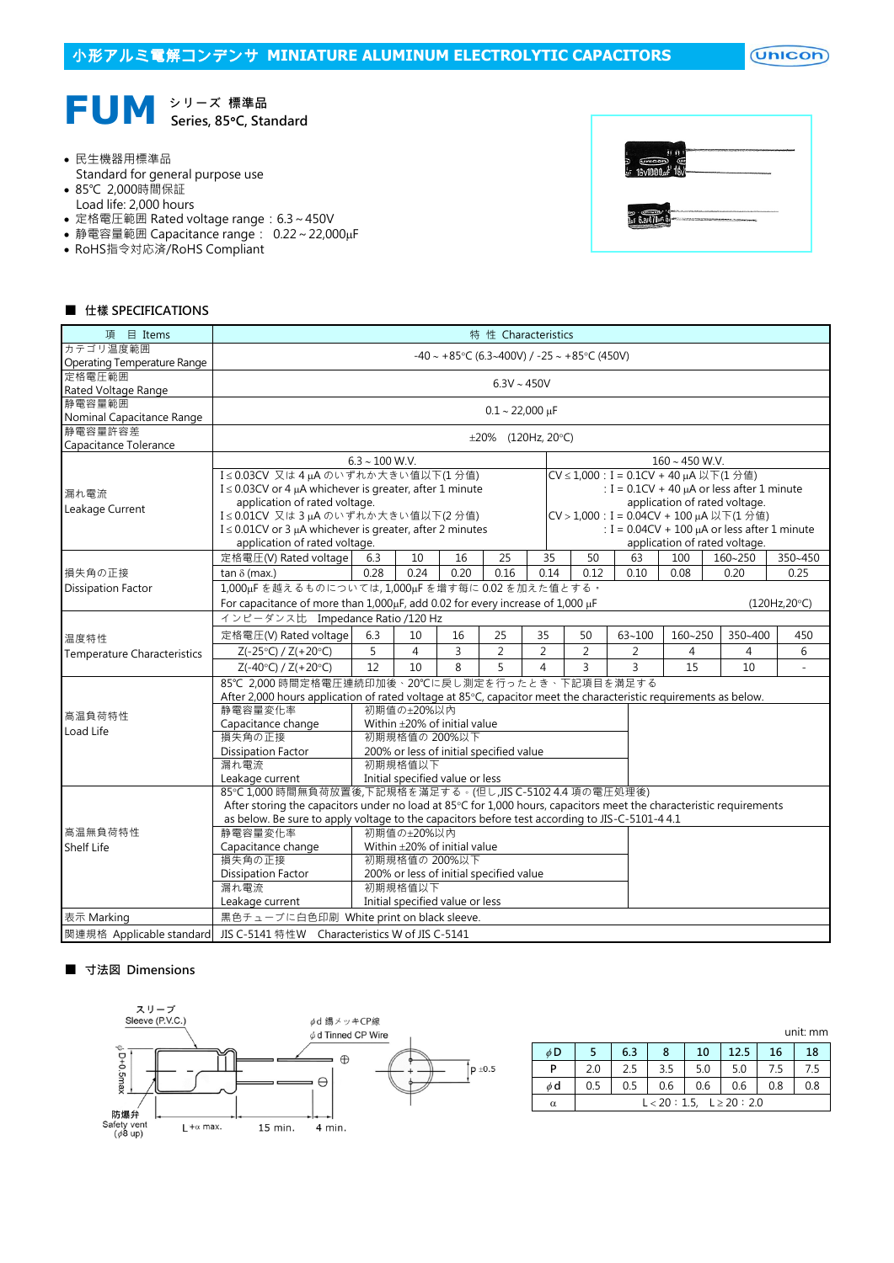$($ Unicon $)$ 



民生機器用標準品

- Standard for general purpose use
- 85℃ 2,000時間保証
- Load life: 2,000 hours
- 定格電圧範囲 Rated voltage range: 6.3~450V
- 静電容量範囲 Capacitance range: 0.22~22,000µF
- RoHS指令対応済/RoHS Compliant

| D Concom<br>of 16M000 | <b>A</b> <sub>C</sub> |  |
|-----------------------|-----------------------|--|
|                       |                       |  |

#### ■ 仕樣 SPECIFICATIONS

| 項 目 Items                            | 特 性 Characteristics                                                                                                 |                          |                |                                                   |                |                |                |                                         |                     |                                                 |              |  |  |  |
|--------------------------------------|---------------------------------------------------------------------------------------------------------------------|--------------------------|----------------|---------------------------------------------------|----------------|----------------|----------------|-----------------------------------------|---------------------|-------------------------------------------------|--------------|--|--|--|
| カテゴリ温度範囲                             | $-40 \sim +85$ °C (6.3~400V) / $-25 \sim +85$ °C (450V)                                                             |                          |                |                                                   |                |                |                |                                         |                     |                                                 |              |  |  |  |
| Operating Temperature Range          |                                                                                                                     |                          |                |                                                   |                |                |                |                                         |                     |                                                 |              |  |  |  |
| 定格電圧範囲                               | $6.3V \sim 450V$                                                                                                    |                          |                |                                                   |                |                |                |                                         |                     |                                                 |              |  |  |  |
| Rated Voltage Range                  |                                                                                                                     |                          |                |                                                   |                |                |                |                                         |                     |                                                 |              |  |  |  |
| 静電容量範囲                               | $0.1 \sim 22,000 \text{ }\mu\text{F}$                                                                               |                          |                |                                                   |                |                |                |                                         |                     |                                                 |              |  |  |  |
| Nominal Capacitance Range<br>静電容量許容差 |                                                                                                                     |                          |                |                                                   |                |                |                |                                         |                     |                                                 |              |  |  |  |
|                                      |                                                                                                                     | $\pm 20\%$ (120Hz, 20°C) |                |                                                   |                |                |                |                                         |                     |                                                 |              |  |  |  |
| Capacitance Tolerance                |                                                                                                                     |                          |                |                                                   |                |                |                |                                         |                     |                                                 |              |  |  |  |
|                                      |                                                                                                                     | $6.3 \sim 100$ W.V.      |                |                                                   |                |                |                |                                         | $160 \sim 450$ W.V. |                                                 |              |  |  |  |
|                                      | I≤0.03CV 又は4µAのいずれか大きい値以下(1分値)                                                                                      |                          |                |                                                   |                |                |                | CV ≤ 1,000 : I = 0.1CV + 40 µA 以下(1 分値) |                     |                                                 |              |  |  |  |
| 漏れ電流                                 | I $\leq$ 0.03CV or 4 µA whichever is greater, after 1 minute                                                        |                          |                |                                                   |                |                |                |                                         |                     | : I = $0.1CV + 40 \mu A$ or less after 1 minute |              |  |  |  |
| Leakage Current                      | application of rated voltage.                                                                                       |                          |                |                                                   |                |                |                |                                         |                     | application of rated voltage.                   |              |  |  |  |
|                                      | I≤0.01CV 又は3µAのいずれか大きい値以下(2分値)                                                                                      |                          |                |                                                   |                |                |                |                                         |                     | CV > 1,000 : I = 0.04CV + 100 µA 以下(1分値)        |              |  |  |  |
|                                      | $I \leq 0.01$ CV or 3 µA whichever is greater, after 2 minutes                                                      |                          |                | : $I = 0.04CV + 100 \mu A$ or less after 1 minute |                |                |                |                                         |                     |                                                 |              |  |  |  |
|                                      | application of rated voltage.                                                                                       |                          |                |                                                   |                |                |                |                                         |                     | application of rated voltage.                   |              |  |  |  |
|                                      | 定格電圧(V) Rated voltage                                                                                               | 6.3                      | 10             | 16                                                | 25             | 35             | 50             | 63                                      | 100                 | 160~250                                         | 350~450      |  |  |  |
| 損失角の正接                               | tan $\delta$ (max.)                                                                                                 | 0.28                     | 0.24           | 0.20                                              | 0.16           | 0.14           | 0.12           | 0.10                                    | 0.08                | 0.20                                            | 0.25         |  |  |  |
| <b>Dissipation Factor</b>            | 1,000µFを越えるものについては,1,000µFを増す每に0.02を加えた値とする。                                                                        |                          |                |                                                   |                |                |                |                                         |                     |                                                 |              |  |  |  |
|                                      | For capacitance of more than $1,000\mu$ F, add 0.02 for every increase of $1,000\mu$ F<br>(120Hz,20°C)              |                          |                |                                                   |                |                |                |                                         |                     |                                                 |              |  |  |  |
|                                      | インピーダンス比 Impedance Ratio /120 Hz                                                                                    |                          |                |                                                   |                |                |                |                                         |                     |                                                 |              |  |  |  |
| 温度特性                                 | 定格電圧(V) Rated voltage                                                                                               | 6.3                      | 10             | 16                                                | 25             | 35             | 50             | $63 - 100$                              | 160~250             | 350~400                                         | 450          |  |  |  |
| <b>Temperature Characteristics</b>   | $Z(-25°C) / Z(+20°C)$                                                                                               | 5                        | $\overline{4}$ | 3                                                 | $\overline{2}$ | $\overline{2}$ | $\overline{2}$ | 2                                       | 4                   | 4                                               | 6            |  |  |  |
|                                      | $Z(-40°C) / Z(+20°C)$                                                                                               | 12                       | 10             | 8                                                 | 5              | 4              | $\overline{3}$ | 3                                       | 15                  | 10                                              | $\mathbf{r}$ |  |  |  |
|                                      | 85℃ 2,000 時間定格電圧連続印加後、20℃に戻し測定を行ったとき、下記項目を満足する                                                                      |                          |                |                                                   |                |                |                |                                         |                     |                                                 |              |  |  |  |
|                                      | After 2,000 hours application of rated voltage at 85°C, capacitor meet the characteristic requirements as below.    |                          |                |                                                   |                |                |                |                                         |                     |                                                 |              |  |  |  |
| 高温負荷特性                               | 静雷容量変化率                                                                                                             |                          | 初期値の+20%以内     |                                                   |                |                |                |                                         |                     |                                                 |              |  |  |  |
| Load Life                            | Capacitance change                                                                                                  |                          |                | Within ±20% of initial value                      |                |                |                |                                         |                     |                                                 |              |  |  |  |
|                                      | 損失角の正接                                                                                                              |                          |                | 初期規格值の 200%以下                                     |                |                |                |                                         |                     |                                                 |              |  |  |  |
|                                      | <b>Dissipation Factor</b>                                                                                           |                          |                | 200% or less of initial specified value           |                |                |                |                                         |                     |                                                 |              |  |  |  |
|                                      | 漏れ電流                                                                                                                |                          | 初期規格值以下        |                                                   |                |                |                |                                         |                     |                                                 |              |  |  |  |
|                                      | Leakage current                                                                                                     |                          |                | Initial specified value or less                   |                |                |                |                                         |                     |                                                 |              |  |  |  |
|                                      | 85℃1,000 時間無負荷放置後,下記規格を滿足する。(但し,JIS C-5102 4.4 項の電圧処理後)                                                             |                          |                |                                                   |                |                |                |                                         |                     |                                                 |              |  |  |  |
|                                      | After storing the capacitors under no load at 85°C for 1,000 hours, capacitors meet the characteristic requirements |                          |                |                                                   |                |                |                |                                         |                     |                                                 |              |  |  |  |
|                                      | as below. Be sure to apply voltage to the capacitors before test according to JIS-C-5101-4 4.1                      |                          |                |                                                   |                |                |                |                                         |                     |                                                 |              |  |  |  |
| 高温無負荷特性                              | 静電容量変化率                                                                                                             |                          | 初期值の±20%以内     |                                                   |                |                |                |                                         |                     |                                                 |              |  |  |  |
| <b>Shelf Life</b>                    | Capacitance change                                                                                                  |                          |                | Within ±20% of initial value                      |                |                |                |                                         |                     |                                                 |              |  |  |  |
|                                      | 損失角の正接                                                                                                              |                          |                | 初期規格值の 200%以下                                     |                |                |                |                                         |                     |                                                 |              |  |  |  |
|                                      | <b>Dissipation Factor</b>                                                                                           |                          |                | 200% or less of initial specified value           |                |                |                |                                         |                     |                                                 |              |  |  |  |
|                                      | 漏れ電流                                                                                                                |                          | 初期規格值以下        |                                                   |                |                |                |                                         |                     |                                                 |              |  |  |  |
|                                      | Leakage current                                                                                                     |                          |                | Initial specified value or less                   |                |                |                |                                         |                     |                                                 |              |  |  |  |
| 表示 Marking                           | 黒色チューブに白色印刷 White print on black sleeve.                                                                            |                          |                |                                                   |                |                |                |                                         |                     |                                                 |              |  |  |  |
| 関連規格 Applicable standard             | JIS C-5141 特性W Characteristics W of JIS C-5141                                                                      |                          |                |                                                   |                |                |                |                                         |                     |                                                 |              |  |  |  |

#### ■ 寸法図 Dimensions



|          |                                |     |            |                   |      |     | unit: mm |  |  |  |  |
|----------|--------------------------------|-----|------------|-------------------|------|-----|----------|--|--|--|--|
| φD       |                                | 6.3 | 8          | 10                | 12.5 | 16  | 18       |  |  |  |  |
| P        | 2.0                            | 2.5 | 3.5        | 5.0               | 5.0  | 7.5 |          |  |  |  |  |
| $\phi$ d | 0.5                            | 0.5 | 0.6<br>0.6 | 0.8<br>0.6<br>0.8 |      |     |          |  |  |  |  |
| α        | $L < 20 : 1.5, L \ge 20 : 2.0$ |     |            |                   |      |     |          |  |  |  |  |